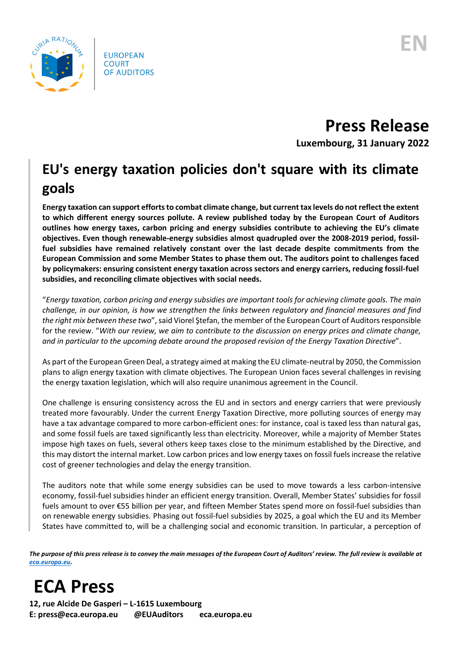

**Press Release**

**Luxembourg, 31 January 2022**

## **EU's energy taxation policies don't square with its climate goals**

**Energy taxation can support efforts to combat climate change, but current tax levels do not reflect the extent to which different energy sources pollute. A review published today by the European Court of Auditors outlines how energy taxes, carbon pricing and energy subsidies contribute to achieving the EU's climate objectives. Even though renewable-energy subsidies almost quadrupled over the 2008-2019 period, fossilfuel subsidies have remained relatively constant over the last decade despite commitments from the European Commission and some Member States to phase them out. The auditors point to challenges faced by policymakers: ensuring consistent energy taxation across sectors and energy carriers, reducing fossil-fuel subsidies, and reconciling climate objectives with social needs.** 

"*Energy taxation, carbon pricing and energy subsidies are important tools for achieving climate goals. The main challenge, in our opinion, is how we strengthen the links between regulatory and financial measures and find the right mix between these two*",said Viorel Ştefan, the member of the European Court of Auditors responsible for the review. "*With our review, we aim to contribute to the discussion on energy prices and climate change, and in particular to the upcoming debate around the proposed revision of the Energy Taxation Directive*".

As part of the European Green Deal, a strategy aimed at making the EU climate-neutral by 2050, the Commission plans to align energy taxation with climate objectives. The European Union faces several challenges in revising the energy taxation legislation, which will also require unanimous agreement in the Council.

One challenge is ensuring consistency across the EU and in sectors and energy carriers that were previously treated more favourably. Under the current Energy Taxation Directive, more polluting sources of energy may have a tax advantage compared to more carbon-efficient ones: for instance, coal is taxed less than natural gas, and some fossil fuels are taxed significantly less than electricity. Moreover, while a majority of Member States impose high taxes on fuels, several others keep taxes close to the minimum established by the Directive, and this may distort the internal market. Low carbon prices and low energy taxes on fossil fuels increase the relative cost of greener technologies and delay the energy transition.

The auditors note that while some energy subsidies can be used to move towards a less carbon-intensive economy, fossil-fuel subsidies hinder an efficient energy transition. Overall, Member States' subsidies for fossil fuels amount to over €55 billion per year, and fifteen Member States spend more on fossil-fuel subsidies than on renewable energy subsidies. Phasing out fossil-fuel subsidies by 2025, a goal which the EU and its Member States have committed to, will be a challenging social and economic transition. In particular, a perception of

*The purpose of this press release is to convey the main messages of the European Court of Auditors' review. The full review is available at [eca.europa.eu.](https://www.eca.europa.eu/)*

## **ECA Press**

**12, rue Alcide De Gasperi – L-1615 Luxembourg E: press@eca.europa.eu @EUAuditors eca.europa.eu**